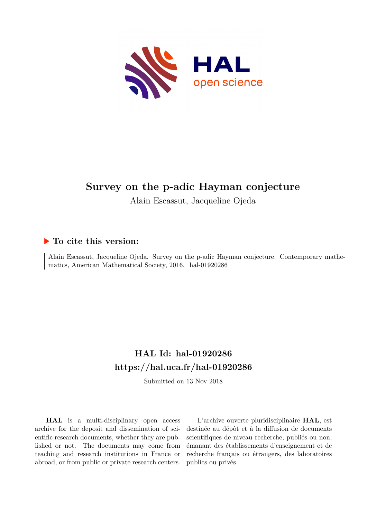

# **Survey on the p-adic Hayman conjecture**

Alain Escassut, Jacqueline Ojeda

### **To cite this version:**

Alain Escassut, Jacqueline Ojeda. Survey on the p-adic Hayman conjecture. Contemporary mathematics, American Mathematical Society, 2016. hal-01920286

# **HAL Id: hal-01920286 <https://hal.uca.fr/hal-01920286>**

Submitted on 13 Nov 2018

**HAL** is a multi-disciplinary open access archive for the deposit and dissemination of scientific research documents, whether they are published or not. The documents may come from teaching and research institutions in France or abroad, or from public or private research centers.

L'archive ouverte pluridisciplinaire **HAL**, est destinée au dépôt et à la diffusion de documents scientifiques de niveau recherche, publiés ou non, émanant des établissements d'enseignement et de recherche français ou étrangers, des laboratoires publics ou privés.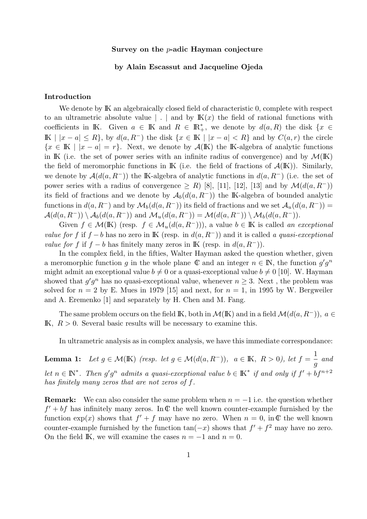#### Survey on the p-adic Hayman conjecture

#### by Alain Escassut and Jacqueline Ojeda

#### Introduction

We denote by  $\mathbb{K}$  an algebraically closed field of characteristic 0, complete with respect to an ultrametric absolute value  $\vert \cdot \vert$  and by  $K(x)$  the field of rational functions with coefficients in K. Given  $a \in \mathbb{K}$  and  $R \in \mathbb{R}^*_+$ , we denote by  $d(a, R)$  the disk  $\{x \in \mathbb{R}^*, x \in \mathbb{R}^* \mid x \in \mathbb{R}^* \}$ IK |  $|x - a|$  ≤ R, by  $d(a, R^-)$  the disk  $\{x \in K \mid |x - a| < R\}$  and by  $C(a, r)$  the circle  ${x \in \mathbb{K} \mid |x - a| = r}$ . Next, we denote by  $\mathcal{A}(\mathbb{K})$  the K-algebra of analytic functions in IK (i.e. the set of power series with an infinite radius of convergence) and by  $\mathcal{M}(\mathbb{K})$ the field of meromorphic functions in  $\mathbb K$  (i.e. the field of fractions of  $\mathcal A(\mathbb K)$ ). Similarly, we denote by  $\mathcal{A}(d(a, R^-))$  the K-algebra of analytic functions in  $d(a, R^-)$  (i.e. the set of power series with a radius of convergence  $\geq R$ ) [8], [11], [12], [13] and by  $\mathcal{M}(d(a, R^-))$ its field of fractions and we denote by  $\mathcal{A}_b(d(a, R^-))$  the IK-algebra of bounded analytic functions in  $d(a, R^-)$  and by  $\mathcal{M}_b(d(a, R^-))$  its field of fractions and we set  $\mathcal{A}_u(d(a, R^-))$  =  $\mathcal{A}(d(a, R^-)) \setminus \mathcal{A}_b(d(a, R^-))$  and  $\mathcal{M}_u(d(a, R^-)) = \mathcal{M}(d(a, R^-)) \setminus \mathcal{M}_b(d(a, R^-)).$ 

Given  $f \in \mathcal{M}(\mathbb{K})$  (resp.  $f \in \mathcal{M}_u(d(a, R^-)))$ ), a value  $b \in \mathbb{K}$  is called an exceptional value for f if f – b has no zero in K (resp. in  $d(a, R^-)$ ) and it is called a quasi-exceptional *value for f* if  $f - b$  has finitely many zeros in K (resp. in  $d(a, R^-)$ ).

In the complex field, in the fifties, Walter Hayman asked the question whether, given a meromorphic function g in the whole plane  $\mathbb C$  and an integer  $n \in \mathbb N$ , the function  $g'g^n$ might admit an exceptional value  $b \neq 0$  or a quasi-exceptional value  $b \neq 0$  [10]. W. Hayman showed that  $g'g^n$  has no quasi-exceptional value, whenever  $n \geq 3$ . Next, the problem was solved for  $n = 2$  by E. Mues in 1979 [15] and next, for  $n = 1$ , in 1995 by W. Bergweiler and A. Eremenko [1] and separately by H. Chen and M. Fang.

The same problem occurs on the field K, both in  $\mathcal{M}(\mathbb{K})$  and in a field  $\mathcal{M}(d(a, R^-))$ ,  $a \in$ IK,  $R > 0$ . Several basic results will be necessary to examine this.

In ultrametric analysis as in complex analysis, we have this immediate correspondance:

**Lemma 1:** Let  $g \in \mathcal{M}(\mathbb{K})$  (resp. let  $g \in \mathcal{M}(d(a, R^-))$ ,  $a \in \mathbb{K}$ ,  $R > 0$ ), let  $f = \frac{1}{\sqrt{2\pi}}$ g and let  $n \in \mathbb{N}^*$ . Then  $g'g^n$  admits a quasi-exceptional value  $b \in \mathbb{K}^*$  if and only if  $f' + bf^{n+2}$ has finitely many zeros that are not zeros of f.

**Remark:** We can also consider the same problem when  $n = -1$  i.e. the question whether  $f' + bf$  has infinitely many zeros. In  $\mathbb C$  the well known counter-example furnished by the function  $\exp(x)$  shows that  $f' + f$  may have no zero. When  $n = 0$ , in C the well known counter-example furnished by the function  $tan(-x)$  shows that  $f' + f^2$  may have no zero. On the field IK, we will examine the cases  $n = -1$  and  $n = 0$ .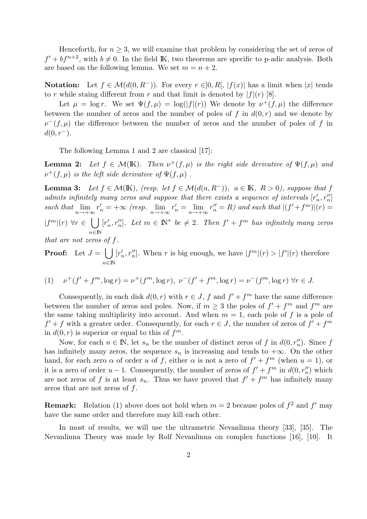Henceforth, for  $n \geq 3$ , we will examine that problem by considering the set of zeros of  $f' + bf^{n+2}$ , with  $b \neq 0$ . In the field K, two theorems are specific to p-adic analysis. Both are based on the following lemma. We set  $m = n + 2$ .

**Notation:** Let  $f \in \mathcal{M}(d(0, R^{-}))$ . For every  $r \in ]0, R[$ ,  $|f(x)|$  has a limit when |x| tends to r while staing different from r and that limit is denoted by  $|f|(r)$  [8].

Let  $\mu = \log r$ . We set  $\Psi(f, \mu) = \log(|f|(r))$  We denote by  $\nu^+(f, \mu)$  the difference between the number of zeros and the number of poles of f in  $d(0,r)$  and we denote by  $\nu^-(f, \mu)$  the difference between the number of zeros and the number of poles of f in  $d(0, r^-)$ .

The following Lemma 1 and 2 are classical [17]:

**Lemma 2:** Let  $f \in \mathcal{M}(\mathbb{K})$ . Then  $\nu^+(f, \mu)$  is the right side derivative of  $\Psi(f, \mu)$  and  $\nu^+(f, \mu)$  is the left side derivative of  $\Psi(f, \mu)$ .

**Lemma 3:** Let  $f \in \mathcal{M}(\mathbb{K})$ , (resp. let  $f \in \mathcal{M}(d(a, R^{-}))$ ,  $a \in \mathbb{K}$ ,  $R > 0$ ), suppose that f admits infinitely many zeros and suppose that there exists a sequence of intervals  $[r'_n, r''_n]$ such that  $\lim_{n\to+\infty}r'_n=+\infty$  (resp.  $\lim_{n\to+\infty}r'_n=\lim_{n\to+\infty}r''_n=R$ ) and such that  $|(f'+f^m)|(r)=$  $|f^m|(r) \forall r \in \Box r'_r$  $n \in \mathbb{N}$  $n'_n, r''_n$ . Let  $m \in \mathbb{N}^*$  be  $\neq 2$ . Then  $f' + f^m$  has infinitely many zeros

that are not zeros of f.

**Proof:** Let  $J = \begin{bmatrix} \end{bmatrix}$  $n \in \mathbb{N}$  $[r'_i$ ', r'''
nl. When r is big enough, we have  $|f^m|(r) > |f'|(r)$  therefore

(1) 
$$
\nu^+(f' + f^m, \log r) = \nu^+(f^m, \log r), \ \nu^-(f' + f^m, \log r) = \nu^-(f^m, \log r) \ \forall r \in J.
$$

Consequently, in each disk  $d(0, r)$  with  $r \in J$ , f and  $f' + f^m$  have the same difference between the number of zeros and poles. Now, if  $m \geq 3$  the poles of  $f' + f^m$  and  $f^m$  are the same taking multiplicity into account. And when  $m = 1$ , each pole of f is a pole of  $f' + f$  with a greater order. Consequently, for each  $r \in J$ , the number of zeros of  $f' + f^m$ in  $d(0,r)$  is superior or equal to this of  $f^m$ .

Now, for each  $n \in \mathbb{N}$ , let  $s_n$  be the number of distinct zeros of f in  $d(0, r_n)$ . Since f has infinitely many zeros, the sequence  $s_n$  is increasing and tends to  $+\infty$ . On the other hand, for each zero  $\alpha$  of order u of f, either  $\alpha$  is not a zero of  $f' + f^m$  (when  $u = 1$ ), or it is a zero of order  $u - 1$ . Consequently, the number of zeros of  $f' + f^m$  in  $d(0, r_n'')$  which are not zeros of f is at least  $s_n$ . Thus we have proved that  $f' + f^m$  has infinitely many zeros that are not zeros of  $f$ .

**Remark:** Relation (1) above does not hold when  $m = 2$  because poles of  $f^2$  and  $f'$  may have the same order and therefore may kill each other.

In most of results, we will use the ultrametric Nevanlinna theory [33], [35]. The Nevanlinna Theory was made by Rolf Nevanlinna on complex functions [16], [10]. It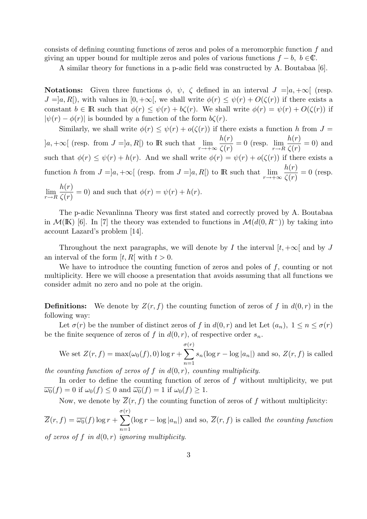consists of defining counting functions of zeros and poles of a meromorphic function f and giving an upper bound for multiple zeros and poles of various functions  $f - b$ ,  $b \in \mathbb{C}$ .

A similar theory for functions in a p-adic field was constructed by A. Boutabaa [6].

**Notations:** Given three functions  $\phi$ ,  $\psi$ ,  $\zeta$  defined in an interval  $J = ]a, +\infty[$  (resp.  $J = [a, R]$ , with values in  $[0, +\infty)$ , we shall write  $\phi(r) \leq \psi(r) + O(\zeta(r))$  if there exists a constant  $b \in \mathbb{R}$  such that  $\phi(r) \leq \psi(r) + b\zeta(r)$ . We shall write  $\phi(r) = \psi(r) + O(\zeta(r))$  if  $|\psi(r) - \phi(r)|$  is bounded by a function of the form  $b\zeta(r)$ .

Similarly, we shall write  $\phi(r) \leq \psi(r) + o(\zeta(r))$  if there exists a function h from  $J =$  $]a, +\infty[$  (resp. from  $J = ]a, R[$ ) to R such that  $\lim_{r \to +\infty} \frac{h(r)}{\zeta(r)}$  $\zeta(r)$  $= 0$  (resp.  $\lim_{r \to R}$  $h(r)$  $\zeta(r)$  $= 0$ ) and such that  $\phi(r) \leq \psi(r) + h(r)$ . And we shall write  $\phi(r) = \psi(r) + o(\zeta(r))$  if there exists a function h from  $J = ]a, +\infty[$  (resp. from  $J = ]a, R[$ ) to R such that  $\lim_{r \to +\infty} \frac{h(r)}{\zeta(r)}$  $\zeta(r)$  $= 0$  (resp.  $\lim_{r\to R}$  $h(r)$  $\zeta(r)$  $= 0$ ) and such that  $\phi(r) = \psi(r) + h(r)$ .

The p-adic Nevanlinna Theory was first stated and correctly proved by A. Boutabaa in  $\mathcal{M}(\mathbb{K})$  [6]. In [7] the theory was extended to functions in  $\mathcal{M}(d(0, R^-))$  by taking into account Lazard's problem [14].

Throughout the next paragraphs, we will denote by I the interval  $[t, +\infty]$  and by J an interval of the form  $[t, R]$  with  $t > 0$ .

We have to introduce the counting function of zeros and poles of  $f$ , counting or not multiplicity. Here we will choose a presentation that avoids assuming that all functions we consider admit no zero and no pole at the origin.

**Definitions:** We denote by  $Z(r, f)$  the counting function of zeros of f in  $d(0, r)$  in the following way:

Let  $\sigma(r)$  be the number of distinct zeros of f in  $d(0,r)$  and let Let  $(a_n)$ ,  $1 \leq n \leq \sigma(r)$ be the finite sequence of zeros of f in  $d(0, r)$ , of respective order  $s_n$ .

We set 
$$
Z(r, f) = \max(\omega_0(f), 0) \log r + \sum_{n=1}^{\sigma(r)} s_n (\log r - \log |a_n|)
$$
 and so,  $Z(r, f)$  is called

the counting function of zeros of f in  $d(0,r)$ , counting multiplicity.

In order to define the counting function of zeros of  $f$  without multiplicity, we put  $\overline{\omega_0}(f) = 0$  if  $\omega_0(f) \le 0$  and  $\overline{\omega_0}(f) = 1$  if  $\omega_0(f) \ge 1$ .

Now, we denote by  $\overline{Z}(r, f)$  the counting function of zeros of f without multiplicity:

 $Z(r, f) = \overline{\omega_0}(f) \log r +$ σ $\sum$  $(r)$  $n=1$  $(\log r - \log |a_n|)$  and so,  $\overline{Z}(r, f)$  is called the counting function of zeros of f in  $d(0,r)$  ignoring multiplicity.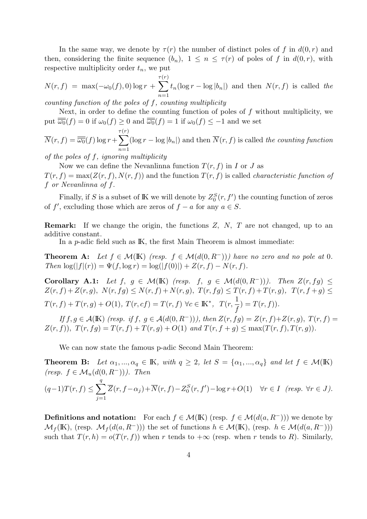In the same way, we denote by  $\tau(r)$  the number of distinct poles of f in  $d(0,r)$  and then, considering the finite sequence  $(b_n)$ ,  $1 \leq n \leq \tau(r)$  of poles of f in  $d(0,r)$ , with respective multiplicity order  $t_n$ , we put

$$
N(r, f) = \max(-\omega_0(f), 0) \log r + \sum_{n=1}^{\tau(r)} t_n (\log r - \log |b_n|) \text{ and then } N(r, f) \text{ is called } the
$$

counting function of the poles of  $f$ , counting multiplicity

Next, in order to define the counting function of poles of  $f$  without multiplicity, we put  $\overline{\omega_0}(f) = 0$  if  $\omega_0(f) \ge 0$  and  $\overline{\omega_0}(f) = 1$  if  $\omega_0(f) \le -1$  and we set

$$
\overline{N}(r, f) = \overline{\overline{\omega_0}}(f) \log r + \sum_{n=1}^{\tau(r)} (\log r - \log |b_n|) \text{ and then } \overline{N}(r, f) \text{ is called the counting function}
$$

of the poles of f, ignoring multiplicity

Now we can define the Nevanlinna function  $T(r, f)$  in I or J as  $T(r, f) = \max(Z(r, f), N(r, f))$  and the function  $T(r, f)$  is called *characteristic function of* f or Nevanlinna of f.

Finally, if S is a subset of K we will denote by  $Z_0^S(r, f')$  the counting function of zeros of f', excluding those which are zeros of  $f - a$  for any  $a \in S$ .

**Remark:** If we change the origin, the functions  $Z$ ,  $N$ ,  $T$  are not changed, up to an additive constant.

In a *p*-adic field such as IK, the first Main Theorem is almost immediate:

**Theorem A:** Let  $f \in \mathcal{M}(\mathbb{K})$  (resp.  $f \in \mathcal{M}(d(0,R^-))$ ) have no zero and no pole at 0. Then  $\log(|f|(r)) = \Psi(f, \log r) = \log(|f(0)|) + Z(r, f) - N(r, f).$ 

Corollary A.1: Let  $f, g \in \mathcal{M}(\mathbb{K})$  (resp.  $f, g \in \mathcal{M}(d(0, R^-))$ ). Then  $Z(r, fg) \leq$  $Z(r, f) + Z(r, g), N(r, fg) \leq N(r, f) + N(r, g), T(r, fg) \leq T(r, f) + T(r, g), T(r, f + g) \leq$  $T(r, f) + T(r, g) + O(1), T(r, cf) = T(r, f) \,\forall c \in \mathbb{K}^*, T(r, f)$ 1 f  $) = T(r, f)).$ 

If  $f, g \in \mathcal{A}(\mathbb{K})$  (resp. if  $f, g \in \mathcal{A}(d(0, R^-))$ ), then  $Z(r, fg) = Z(r, f) + Z(r, g)$ ,  $T(r, f) =$  $Z(r, f)$ ,  $T(r, fg) = T(r, f) + T(r, g) + O(1)$  and  $T(r, f + g) \leq \max(T(r, f), T(r, g))$ .

We can now state the famous p-adic Second Main Theorem:

**Theorem B:** Let  $\alpha_1, ..., \alpha_q \in \mathbb{K}$ , with  $q \geq 2$ , let  $S = {\alpha_1, ..., \alpha_q}$  and let  $f \in \mathcal{M}(\mathbb{K})$ (resp.  $f \in \mathcal{M}_u(d(0,R^-))$ ). Then  $(q-1)T(r, f) \leq \sum$ q  $j=1$  $\overline{Z}(r, f - \alpha_j) + \overline{N}(r, f) - Z_0^S(r, f') - \log r + O(1) \quad \forall r \in I \quad (resp. \ \forall r \in J).$ 

**Definitions and notation:** For each  $f \in \mathcal{M}(\mathbb{K})$  (resp.  $f \in \mathcal{M}(d(a, R^-))$ ) we denote by  $\mathcal{M}_f(\mathbb{K})$ , (resp.  $\mathcal{M}_f(d(a, R^-))$ ) the set of functions  $h \in \mathcal{M}(\mathbb{K})$ , (resp.  $h \in \mathcal{M}(d(a, R^-))$ ) such that  $T(r, h) = o(T(r, f))$  when r tends to  $+\infty$  (resp. when r tends to R). Similarly,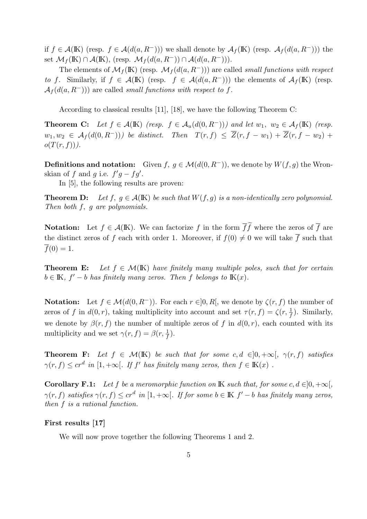if  $f \in \mathcal{A}(\mathbb{K})$  (resp.  $f \in \mathcal{A}(d(a, R^-))$ ) we shall denote by  $\mathcal{A}_f(\mathbb{K})$  (resp.  $\mathcal{A}_f(d(a, R^-))$ ) the set  $\mathcal{M}_f(\mathbb{K}) \cap \mathcal{A}(\mathbb{K})$ , (resp.  $\mathcal{M}_f(d(a, R^-)) \cap \mathcal{A}(d(a, R^-))$ ).

The elements of  $\mathcal{M}_f(\mathbb{K})$  (resp.  $\mathcal{M}_f(d(a, R^-))$ ) are called small functions with respect to f. Similarly, if  $f \in \mathcal{A}(\mathbb{K})$  (resp.  $f \in \mathcal{A}(d(a, R^-))$ ) the elements of  $\mathcal{A}_f(\mathbb{K})$  (resp.  $\mathcal{A}_f(d(a,R^-)))$  are called small functions with respect to f.

According to classical results [11], [18], we have the following Theorem C:

**Theorem C:** Let  $f \in \mathcal{A}(\mathbb{K})$  (resp.  $f \in \mathcal{A}_u(d(0,R^-))$ ) and let  $w_1, w_2 \in \mathcal{A}_f(\mathbb{K})$  (resp.  $w_1, w_2 \in \mathcal{A}_f(d(0,R^-))$  be distinct. Then  $T(r, f) \leq \overline{Z}(r, f-w_1) + \overline{Z}(r, f-w_2) +$  $o(T(r, f))).$ 

**Definitions and notation:** Given  $f, g \in \mathcal{M}(d(0, R^-))$ , we denote by  $W(f, g)$  the Wronskian of f and g i.e.  $f'g - fg'$ .

In [5], the following results are proven:

**Theorem D:** Let  $f, g \in \mathcal{A}(\mathbb{K})$  be such that  $W(f, g)$  is a non-identically zero polynomial. Then both f, g are polynomials.

**Notation:** Let  $f \in \mathcal{A}(\mathbb{K})$ . We can factorize f in the form ff where the zeros of f are the distinct zeros of f each with order 1. Moreover, if  $f(0) \neq 0$  we will take  $\overline{f}$  such that  $f(0) = 1.$ 

**Theorem E:** Let  $f \in \mathcal{M}(\mathbb{K})$  have finitely many multiple poles, such that for certain  $b \in \mathbb{K}$ ,  $f' - b$  has finitely many zeros. Then f belongs to  $\mathbb{K}(x)$ .

**Notation:** Let  $f \in \mathcal{M}(d(0, R^{-}))$ . For each  $r \in ]0, R[$ , we denote by  $\zeta(r, f)$  the number of zeros of f in  $d(0,r)$ , taking multiplicity into account and set  $\tau(r, f) = \zeta(r, \frac{1}{f})$ . Similarly, we denote by  $\beta(r, f)$  the number of multiple zeros of f in  $d(0, r)$ , each counted with its multiplicity and we set  $\gamma(r, f) = \beta(r, \frac{1}{f}).$ 

**Theorem F:** Let  $f \in \mathcal{M}(\mathbb{K})$  be such that for some c,  $d \in ]0, +\infty[$ ,  $\gamma(r, f)$  satisfies  $\gamma(r, f) \leq c r^d$  in  $[1, +\infty[$ . If f' has finitely many zeros, then  $f \in K(x)$ .

**Corollary F.1:** Let f be a meromorphic function on K such that, for some c,  $d \in ]0, +\infty[$ ,  $\gamma(r, f)$  satisfies  $\gamma(r, f) \leq c r^d$  in  $[1, +\infty[$ . If for some  $b \in \mathbb{K}$   $f' - b$  has finitely many zeros, then f is a rational function.

#### First results [17]

We will now prove together the following Theorems 1 and 2.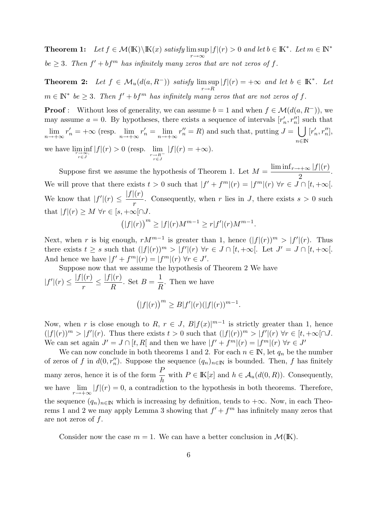**Theorem 1:** Let  $f \in \mathcal{M}(\mathbb{K}) \backslash \mathbb{K}(x)$  satisfy  $\limsup |f|(r) > 0$  and let  $b \in \mathbb{K}^*$ . Let  $m \in \mathbb{N}^*$ r→∞  $be \geq 3$ . Then  $f' + bf^m$  has infinitely many zeros that are not zeros of f.

**Theorem 2:** Let  $f \in \mathcal{M}_u(d(a, R^-))$  satisfy lim sup  $r\rightarrow R$  $|f|(r) = +\infty$  and let  $b \in \mathbb{K}^*$ . Let  $m \in \mathbb{N}^*$  be  $\geq 3$ . Then  $f' + bf^m$  has infinitely many zeros that are not zeros of f.

**Proof** : Without loss of generality, we can assume  $b = 1$  and when  $f \in \mathcal{M}(d(a, R^{-}))$ , we may assume  $a = 0$ . By hypotheses, there exists a sequence of intervals  $[r'_n, r''_n]$  such that  $\lim_{n \to +\infty} r'_n = +\infty$  (resp.  $\lim_{n \to +\infty} r'_n = \lim_{n \to +\infty} r''_n = R$ ) and such that, putting  $J = \bigcup_{n \to +\infty}$  $n \in \mathbb{N}$  $[r_n',r_n''],$ we have  $\liminf_{\substack{r \to \infty, \\ r \in J}}$  $|f|(r) > 0$  (resp.  $\lim_{\substack{r \to R^{-} \\ r \in J}}$  $|f|(r) = +\infty$ ).

Suppose first we assume the hypothesis of Theorem 1. Let  $M = \frac{\liminf_{r \to +\infty} |f|(r)}{2}$ 2 . We will prove that there exists  $t > 0$  such that  $|f' + f^m|(r) = |f^m|(r) \forall r \in J \cap [t, +\infty[$ . We know that  $|f'(r)| \leq$  $|f|(r)$ r . Consequently, when r lies in J, there exists  $s > 0$  such that  $|f|(r) \geq M \,\forall r \in [s, +\infty[ \cap J.$ 

$$
(|f|(r))^{m} \ge |f|(r)M^{m-1} \ge r|f'|(r)M^{m-1}.
$$

Next, when r is big enough,  $rM^{m-1}$  is greater than 1, hence  $(|f|(r))^m > |f'(r)|$ . Thus there exists  $t \geq s$  such that  $(|f|(r))^m > |f'(r)| \forall r \in J \cap [t, +\infty]$ . Let  $J' = J \cap [t, +\infty]$ . And hence we have  $|f' + f^m|(r) = |f^m|(r) \,\forall r \in J'.$ 

Suppose now that we assume the hypothesis of Theorem 2 We have

 $|f'|(r) \leq$  $|f|(r)$ r  $\leq \frac{|f|(r)}{R}$ R . Set  $B =$ 1 R . Then we have  $(|f|(r))^{m} \geq B|f'|(r)(|f|(r))^{m-1}.$ 

Now, when r is close enough to R,  $r \in J$ ,  $B|f(x)|^{m-1}$  is strictly greater than 1, hence  $(|f|(r))^m > |f'(r)|$ . Thus there exists  $t > 0$  such that  $(|f|(r))^m > |f'(r)| \forall r \in [t, +\infty)$ . We can set again  $J' = J \cap [t, R]$  and then we have  $|f' + f^m|(r) = |f^m|(r) \forall r \in J'$ 

We can now conclude in both theorems 1 and 2. For each  $n \in \mathbb{N}$ , let  $q_n$  be the number of zeros of f in  $d(0, r_n'')$ . Suppose the sequence  $(q_n)_{n\in\mathbb{N}}$  is bounded. Then, f has finitely many zeros, hence it is of the form  $\frac{P}{I}$  $\frac{1}{h}$  with  $P \in \mathbb{K}[x]$  and  $h \in \mathcal{A}_u(d(0,R))$ . Consequently, we have  $\lim_{r \to +\infty} |f|(r) = 0$ , a contradiction to the hypothesis in both theorems. Therefore, the sequence  $(q_n)_{n\in\mathbb{N}}$  which is increasing by definition, tends to  $+\infty$ . Now, in each Theorems 1 and 2 we may apply Lemma 3 showing that  $f' + f^m$  has infinitely many zeros that are not zeros of f.

Consider now the case  $m = 1$ . We can have a better conclusion in  $\mathcal{M}(\mathbb{K})$ .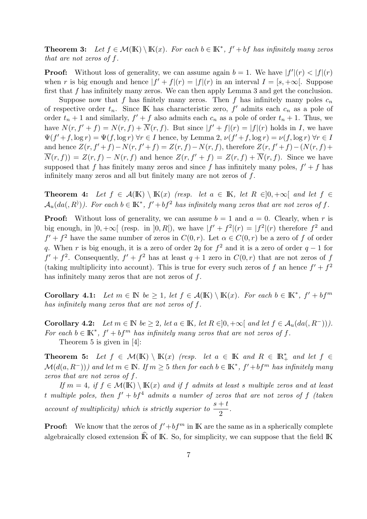**Theorem 3:** Let  $f \in \mathcal{M}(\mathbb{K}) \setminus \mathbb{K}(x)$ . For each  $b \in \mathbb{K}^*$ ,  $f' + bf$  has infinitely many zeros that are not zeros of f.

**Proof:** Without loss of generality, we can assume again  $b = 1$ . We have  $|f'(r)| < |f|(r)$ when r is big enough and hence  $|f' + f|(r) = |f|(r)$  in an interval  $I = [s, +\infty]$ . Suppose first that f has infinitely many zeros. We can then apply Lemma 3 and get the conclusion.

Suppose now that f has finitely many zeros. Then f has infinitely many poles  $c_n$ of respective order  $t_n$ . Since IK has characteristic zero,  $f'$  admits each  $c_n$  as a pole of order  $t_n + 1$  and similarly,  $f' + f$  also admits each  $c_n$  as a pole of order  $t_n + 1$ . Thus, we have  $N(r, f' + f) = N(r, f) + \overline{N}(r, f)$ . But since  $|f' + f|(r) = |f|(r)$  holds in I, we have  $\Psi(f'+f, \log r) = \Psi(f, \log r)$   $\forall r \in I$  hence, by Lemma 2,  $\nu(f'+f, \log r) = \nu(f, \log r)$   $\forall r \in I$ and hence  $Z(r, f'+f)-N(r, f'+f) = Z(r, f)-N(r, f)$ , therefore  $Z(r, f'+f)-(N(r, f)+f)$  $\overline{N}(r, f) = Z(r, f) - N(r, f)$  and hence  $Z(r, f'+f) = Z(r, f) + \overline{N}(r, f)$ . Since we have supposed that f has finitely many zeros and since f has infinitely many poles,  $f' + f$  has infinitely many zeros and all but finitely many are not zeros of f.

**Theorem 4:** Let  $f \in \mathcal{A}(\mathbb{K}) \setminus \mathbb{K}(x)$  (resp. let  $a \in \mathbb{K}$ , let  $R \in ]0, +\infty[$  and let  $f \in$  $\mathcal{A}_u(da(,R))$ ). For each  $b \in \mathbb{K}^*$ ,  $f' + bf^2$  has infinitely many zeros that are not zeros of f.

**Proof:** Without loss of generality, we can assume  $b = 1$  and  $a = 0$ . Clearly, when r is big enough, in  $]0, +\infty[$  (resp. in  $]0, R[$ ), we have  $|f' + f^2|(r) = |f^2|(r)$  therefore  $f^2$  and  $f' + f^2$  have the same number of zeros in  $C(0,r)$ . Let  $\alpha \in C(0,r)$  be a zero of f of order q. When r is big enough, it is a zero of order 2q for  $f^2$  and it is a zero of order  $q-1$  for  $f' + f^2$ . Consequently,  $f' + f^2$  has at least  $q + 1$  zero in  $C(0, r)$  that are not zeros of f (taking multiplicity into account). This is true for every such zeros of f an hence  $f' + f^2$ has infinitely many zeros that are not zeros of  $f$ .

Corollary 4.1: Let  $m \in \mathbb{N}$  be  $\geq 1$ , let  $f \in \mathcal{A}(\mathbb{K}) \setminus \mathbb{K}(x)$ . For each  $b \in \mathbb{K}^*, f' + bf^m$ has infinitely many zeros that are not zeros of f.

Corollary 4.2: Let  $m \in \mathbb{N}$  be  $\geq 2$ , let  $a \in \mathbb{K}$ , let  $R \in ]0, +\infty[$  and let  $f \in \mathcal{A}_u(da, R^-))$ . For each  $b \in \mathbb{K}^*$ ,  $f' + bf^m$  has infinitely many zeros that are not zeros of f. Theorem 5 is given in [4]:

Theorem 5: Let  $f \in \mathcal{M}(\mathbb{K}) \setminus \mathbb{K}(x)$  (resp. let  $a \in \mathbb{K}$  and  $R \in \mathbb{R}_+^*$  and let  $f \in$  $\mathcal{M}(d(a, R^-))$  and let  $m \in \mathbb{N}$ . If  $m \geq 5$  then for each  $b \in \mathbb{K}^*$ ,  $f' + bf^m$  has infinitely many zeros that are not zeros of f.

If  $m = 4$ , if  $f \in \mathcal{M}(\mathbb{K}) \setminus \mathbb{K}(x)$  and if f admits at least s multiple zeros and at least t multiple poles, then  $f' + bf^4$  admits a number of zeros that are not zeros of f (taken account of multiplicity) which is strictly superior to  $\frac{s+t}{2}$ 2 .

**Proof:** We know that the zeros of  $f' + bf^m$  in K are the same as in a spherically complete algebraically closed extension  $\hat{K}$  of K. So, for simplicity, we can suppose that the field  $\hat{K}$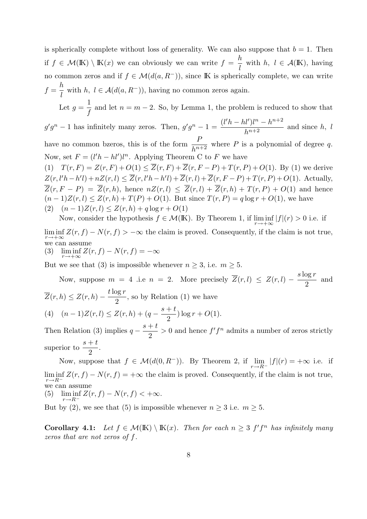is spherically complete without loss of generality. We can also suppose that  $b = 1$ . Then if  $f \in \mathcal{M}(\mathbb{K}) \setminus \mathbb{K}(x)$  we can obviously we can write  $f = \frac{h}{h}$ l with  $h, l \in \mathcal{A}(\mathbb{K})$ , having no common zeros and if  $f \in \mathcal{M}(d(a, R^-))$ , since K is spherically complete, we can write  $f =$ h l with  $h, l \in \mathcal{A}(d(a, R^-))$ , having no common zeros again. Let  $g =$ 1 f and let  $n = m - 2$ . So, by Lemma 1, the problem is reduced to show that  $g'g^{n} - 1$  has infinitely many zeros. Then,  $g'g^{n} - 1 = \frac{(l'h - hl')l^{n} - h^{n+2}}{l!l!l!l!}$  $\frac{h^{n+2}}{h^{n+2}}$  and since h, l have no common bzeros, this is of the form  $\frac{P}{P}$  $\frac{1}{h^{n+2}}$  where P is a polynomial of degree q. Now, set  $F = (l'h - hl')l^n$ . Applying Theorem C to F we have (1)  $T(r, F) = Z(r, F) + O(1) \le \overline{Z}(r, F) + \overline{Z}(r, F - P) + T(r, P) + O(1)$ . By (1) we derive  $Z(r, l'h-h'l)+nZ(r, l) \leq \overline{Z}(r, l'h-h'l)+\overline{Z}(r, l)+\overline{Z}(r, F-P)+T(r, P)+O(1)$ . Actually,  $\overline{Z}(r, F - P) = \overline{Z}(r, h)$ , hence  $nZ(r, l) \leq \overline{Z}(r, l) + \overline{Z}(r, h) + T(r, P) + O(1)$  and hence  $(n-1)Z(r, l) \leq Z(r, h) + T(P) + O(1)$ . But since  $T(r, P) = q \log r + O(1)$ , we have (2)  $(n-1)Z(r, l) \leq Z(r, h) + q \log r + O(1)$ 

Now, consider the hypothesis  $f \in \mathcal{M}(\mathbb{K})$ . By Theorem 1, if  $\liminf_{r \to +\infty} |f|(r) > 0$  i.e. if

 $\liminf_{r \to +\infty} Z(r, f) - N(r, f) > -\infty$  the claim is proved. Consequently, if the claim is not true, we can assume

(3)  $\liminf_{r \to +\infty} Z(r, f) - N(r, f) = -\infty$ 

But we see that (3) is impossible whenever  $n \geq 3$ , i.e.  $m \geq 5$ .

Now, suppose  $m = 4$  .i.e  $n = 2$ . More precisely  $\overline{Z}(r, l) \leq Z(r, l) - \frac{s \log r}{2}$ 2 and  $\overline{Z}(r, h) \leq Z(r, h) - \frac{t \log r}{2}$ 2 , so by Relation (1) we have (4)  $(n-1)Z(r, l) \leq Z(r, h) + (q - \frac{s + t}{2})$ 2 )  $\log r + O(1)$ .

Then Relation (3) implies  $q - \frac{s+t}{s}$ 2  $> 0$  and hence  $f'f^n$  admits a number of zeros strictly superior to  $s + t$ 2 .

Now, suppose that  $f \in \mathcal{M}(d(0,R^-))$ . By Theorem 2, if  $\lim_{r \to R^-} |f|(r) = +\infty$  i.e. if  $\liminf_{r \to R^-} Z(r, f) - N(r, f) = +\infty$  the claim is proved. Consequently, if the claim is not true, we can assume

(5)  $\liminf_{r \to R^{-}} Z(r, f) - N(r, f) < +\infty.$ 

But by (2), we see that (5) is impossible whenever  $n \geq 3$  i.e.  $m \geq 5$ .

**Corollary 4.1:** Let  $f \in \mathcal{M}(\mathbb{K}) \setminus \mathbb{K}(x)$ . Then for each  $n \geq 3$   $f'f^n$  has infinitely many zeros that are not zeros of f.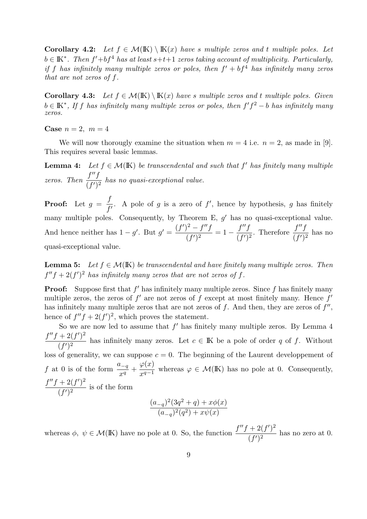Corollary 4.2: Let  $f \in \mathcal{M}(\mathbb{K}) \setminus \mathbb{K}(x)$  have s multiple zeros and t multiple poles. Let  $b \in \mathbb{K}^*$ . Then  $f' + bf^4$  has at least  $s+t+1$  zeros taking account of multiplicity. Particularly, if f has infinitely many multiple zeros or poles, then  $f' + bf^4$  has infinitely many zeros that are not zeros of f.

**Corollary 4.3:** Let  $f \in \mathcal{M}(\mathbb{K}) \setminus \mathbb{K}(x)$  have s multiple zeros and t multiple poles. Given  $b \in \mathbb{K}^*$ , If f has infinitely many multiple zeros or poles, then  $f'f^2 - b$  has infinitely many zeros.

Case  $n=2, m=4$ 

We will now thorougly examine the situation when  $m = 4$  i.e.  $n = 2$ , as made in [9]. This requires several basic lemmas.

**Lemma 4:** Let  $f \in \mathcal{M}(\mathbb{K})$  be transcendental and such that f' has finitely many multiple zeros. Then  $\frac{f''f}{\sqrt{f(x)}}$  $\frac{f}{(f')^2}$  has no quasi-exceptional value.

**Proof:** Let  $g =$ f  $\frac{J}{f'}$ . A pole of g is a zero of f', hence by hypothesis, g has finitely many multiple poles. Consequently, by Theorem E,  $g'$  has no quasi-exceptional value. And hence neither has  $1 - g'$ . But  $g' = \frac{(f')^2 - f''f}{(g')^2}$  $\frac{f''f}{(f')^2} = 1 - \frac{f''f}{(f')}$  $\frac{f''f}{(f')^2}$ . Therefore  $\frac{f''f}{(f')^2}$  $\frac{J}{(f')^2}$  has no quasi-exceptional value.

**Lemma 5:** Let  $f \in \mathcal{M}(\mathbb{K})$  be transcendental and have finitely many multiple zeros. Then  $f''f + 2(f')^2$  has infinitely many zeros that are not zeros of f.

**Proof:** Suppose first that  $f'$  has infinitely many multiple zeros. Since  $f$  has finitely many multiple zeros, the zeros of  $f'$  are not zeros of f except at most finitely many. Hence  $f'$ has infinitely many multiple zeros that are not zeros of  $f$ . And then, they are zeros of  $f''$ , hence of  $f''f + 2(f')^2$ , which proves the statement.

So we are now led to assume that  $f'$  has finitely many multiple zeros. By Lemma 4  $f''f + 2(f')^2$  $\frac{(-2)(j-1)}{(f')^2}$  has infinitely many zeros. Let  $c \in \mathbb{K}$  be a pole of order q of f. Without loss of generality, we can suppose  $c = 0$ . The beginning of the Laurent developpement of f at 0 is of the form  $\frac{a_{-q}}{a}$  $\frac{x-q}{x^q}$  +  $\varphi(x)$  $\frac{\varphi(\omega)}{x^{q-1}}$  whereas  $\varphi \in \mathcal{M}(\mathbb{K})$  has no pole at 0. Consequently,  $f''f + 2(f')^2$  $\frac{(-2(y))}{(f')^2}$  is of the form

$$
\frac{(a_{-q})^2(3q^2+q)+x\phi(x)}{(a_{-q})^2(q^2)+x\psi(x)}
$$

whereas  $\phi, \psi \in \mathcal{M}(\mathbb{K})$  have no pole at 0. So, the function  $\frac{f''f + 2(f')^2}{f''(f')}$  $\frac{(-2(y))}{(f')^2}$  has no zero at 0.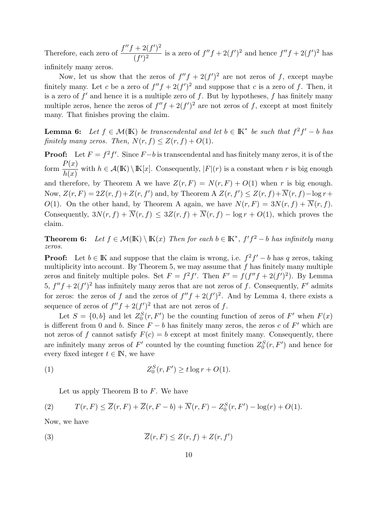Therefore, each zero of  $\frac{f''f + 2(f')^2}{f''(f')}$  $\frac{f'(f')^2}{(f')^2}$  is a zero of  $f''f + 2(f')^2$  and hence  $f''f + 2(f')^2$  has infinitely many zeros.

Now, let us show that the zeros of  $f''f + 2(f')^2$  are not zeros of f, except maybe finitely many. Let c be a zero of  $f''f + 2(f')^2$  and suppose that c is a zero of f. Then, it is a zero of  $f'$  and hence it is a multiple zero of f. But by hypotheses, f has finitely many multiple zeros, hence the zeros of  $f''f + 2(f')^2$  are not zeros of f, except at most finitely many. That finishes proving the claim.

**Lemma 6:** Let  $f \in \mathcal{M}(\mathbb{K})$  be transcendental and let  $b \in \mathbb{K}^*$  be such that  $f^2f' - b$  has finitely many zeros. Then,  $N(r, f) \leq Z(r, f) + O(1)$ .

**Proof:** Let  $F = f^2 f'$ . Since  $F - b$  is transcendental and has finitely many zeros, it is of the form  $\frac{P(x)}{1}$  $h(x)$ with  $h \in \mathcal{A}(\mathbb{K}) \setminus \mathbb{K}[x]$ . Consequently,  $|F|(r)$  is a constant when r is big enough

and therefore, by Theorem A we have  $Z(r, F) = N(r, F) + O(1)$  when r is big enough. Now,  $Z(r, F) = 2Z(r, f) + Z(r, f')$  and, by Theorem A  $Z(r, f') \leq Z(r, f) + \overline{N}(r, f) - \log r +$ O(1). On the other hand, by Theorem A again, we have  $N(r, F) = 3N(r, f) + \overline{N}(r, f)$ . Consequently,  $3N(r, f) + \overline{N}(r, f) \leq 3Z(r, f) + \overline{N}(r, f) - \log r + O(1)$ , which proves the claim.

**Theorem 6:** Let  $f \in \mathcal{M}(\mathbb{K}) \setminus \mathbb{K}(x)$  Then for each  $b \in \mathbb{K}^*$ ,  $f'f^2 - b$  has infinitely many zeros.

**Proof:** Let  $b \in \mathbb{K}$  and suppose that the claim is wrong, i.e.  $f^2 f' - b$  has q zeros, taking multiplicity into account. By Theorem 5, we may assume that  $f$  has finitely many multiple zeros and finitely multiple poles. Set  $F = f^2 f'$ . Then  $F' = f(f''f + 2(f')^2)$ . By Lemma 5,  $f''f + 2(f')^2$  has infinitely many zeros that are not zeros of f. Consequently, F' admits for zeros: the zeros of f and the zeros of  $f''f + 2(f')^2$ . And by Lemma 4, there exists a sequence of zeros of  $f''f + 2(f')^2$  that are not zeros of f.

Let  $S = \{0, b\}$  and let  $Z_0^S(r, F')$  be the counting function of zeros of F' when  $F(x)$ is different from 0 and b. Since  $F - b$  has finitely many zeros, the zeros c of F' which are not zeros of f cannot satisfy  $F(c) = b$  except at most finitely many. Consequently, there are infinitely many zeros of  $F'$  counted by the counting function  $Z_0^S(r, F')$  and hence for every fixed integer  $t \in \mathbb{N}$ , we have

$$
(1) \t\t Z_0^S(r, F') \ge t \log r + O(1).
$$

Let us apply Theorem B to  $F$ . We have

(2) 
$$
T(r,F) \leq \overline{Z}(r,F) + \overline{Z}(r,F-b) + \overline{N}(r,F) - Z_0^S(r,F') - \log(r) + O(1).
$$

Now, we have

$$
\overline{Z}(r, F) \le Z(r, f) + Z(r, f')
$$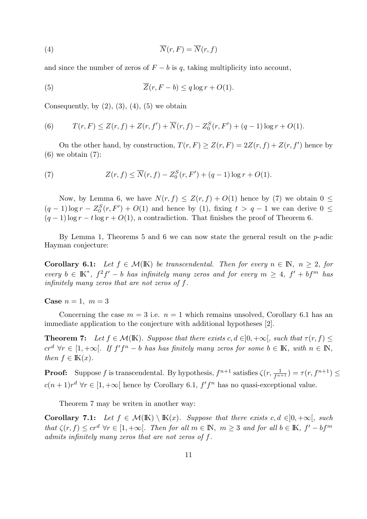$$
\overline{N}(r, F) = \overline{N}(r, f)
$$

and since the number of zeros of  $F - b$  is q, taking multiplicity into account,

(5) 
$$
\overline{Z}(r, F - b) \leq q \log r + O(1).
$$

Consequently, by  $(2)$ ,  $(3)$ ,  $(4)$ ,  $(5)$  we obtain

(6) 
$$
T(r, F) \leq Z(r, f) + Z(r, f') + \overline{N}(r, f) - Z_0^S(r, F') + (q - 1)\log r + O(1).
$$

On the other hand, by construction,  $T(r, F) \ge Z(r, F) = 2Z(r, f) + Z(r, f')$  hence by  $(6)$  we obtain  $(7)$ :

(7) 
$$
Z(r, f) \le \overline{N}(r, f) - Z_0^S(r, F') + (q - 1) \log r + O(1).
$$

Now, by Lemma 6, we have  $N(r, f) \leq Z(r, f) + O(1)$  hence by (7) we obtain  $0 \leq$  $(q-1)\log r - Z_0^S(r, F') + O(1)$  and hence by (1), fixing  $t > q-1$  we can derive  $0 \le$  $(q-1)$  log  $r - t \log r + O(1)$ , a contradiction. That finishes the proof of Theorem 6.

By Lemma 1, Theorems 5 and 6 we can now state the general result on the  $p$ -adic Hayman conjecture:

**Corollary 6.1:** Let  $f \in \mathcal{M}(\mathbb{K})$  be transcendental. Then for every  $n \in \mathbb{N}$ ,  $n \geq 2$ , for every  $b \in K^*$ ,  $f^2 f' - b$  has infinitely many zeros and for every  $m \geq 4$ ,  $f' + bf^m$  has infinitely many zeros that are not zeros of f.

Case  $n = 1$ ,  $m = 3$ 

Concerning the case  $m = 3$  i.e.  $n = 1$  which remains unsolved, Corollary 6.1 has an immediate application to the conjecture with additional hypotheses [2].

**Theorem 7:** Let  $f \in \mathcal{M}(\mathbb{K})$ . Suppose that there exists  $c, d \in ]0, +\infty[$ , such that  $\tau(r, f) \leq$  $cr^d$   $\forall r \in [1, +\infty[$ . If  $f'f^n - b$  has has finitely many zeros for some  $b \in \mathbb{K}$ , with  $n \in \mathbb{N}$ , then  $f \in K(x)$ .

**Proof:** Suppose f is transcendental. By hypothesis,  $f^{n+1}$  satisfies  $\zeta(r, \frac{1}{f^{n+1}}) = \tau(r, f^{n+1}) \leq$  $c(n+1)r^d$   $\forall r \in [1, +\infty]$  hence by Corollary 6.1,  $f'f^n$  has no quasi-exceptional value.

Theorem 7 may be writen in another way:

Corollary 7.1: Let  $f \in \mathcal{M}(\mathbb{K}) \setminus \mathbb{K}(x)$ . Suppose that there exists  $c, d \in ]0, +\infty[$ , such that  $\zeta(r, f) \leq cr^d \forall r \in [1, +\infty[$ . Then for all  $m \in \mathbb{N}$ ,  $m \geq 3$  and for all  $b \in \mathbb{K}$ ,  $f' - bf^m$ admits infinitely many zeros that are not zeros of f.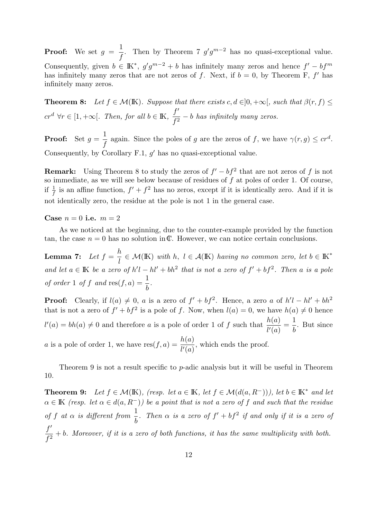**Proof:** We set  $g =$ 1 f Then by Theorem 7  $g'g^{m-2}$  has no quasi-exceptional value. Consequently, given  $b \in \mathbb{K}^*$ ,  $g'g^{m-2} + b$  has infinitely many zeros and hence  $f' - bf^m$ has infinitely many zeros that are not zeros of f. Next, if  $b = 0$ , by Theorem F, f' has infinitely many zeros.

**Theorem 8:** Let  $f \in \mathcal{M}(\mathbb{K})$ . Suppose that there exists  $c, d \in ]0, +\infty[$ , such that  $\beta(r, f) \leq$  $cr^d$   $\forall r \in [1, +\infty[$ . Then, for all  $b \in \mathbb{K}$ ,  $\frac{f'}{c^2}$  $\frac{J}{f^2} - b$  has infinitely many zeros.

**Proof:** Set  $g =$ 1 f again. Since the poles of g are the zeros of f, we have  $\gamma(r,g) \leq cr^d$ . Consequently, by Corollary F.1,  $g'$  has no quasi-exceptional value.

**Remark:** Using Theorem 8 to study the zeros of  $f' - bf^2$  that are not zeros of f is not so immediate, as we will see below because of residues of  $f$  at poles of order 1. Of course, if  $\frac{1}{f}$  is an affine function,  $f' + f^2$  has no zeros, except if it is identically zero. And if it is not identically zero, the residue at the pole is not 1 in the general case.

Case  $n = 0$  i.e.  $m = 2$ 

As we noticed at the beginning, due to the counter-example provided by the function tan, the case  $n = 0$  has no solution in C. However, we can notice certain conclusions.

**Lemma 7:** Let  $f =$ h l  $\in \mathcal{M}(\mathbb{K})$  with h,  $l \in \mathcal{A}(\mathbb{K})$  having no common zero, let  $b \in \mathbb{K}^*$ and let  $a \in \mathbb{K}$  be a zero of  $h'l - hl' + bh^2$  that is not a zero of  $f' + bf^2$ . Then a is a pole of order 1 of f and  $res(f, a) = \frac{1}{1}$ b .

**Proof:** Clearly, if  $l(a) \neq 0$ , a is a zero of  $f' + bf^2$ . Hence, a zero a of  $h'l - hl' + bh^2$ that is not a zero of  $f' + bf^2$  is a pole of f. Now, when  $l(a) = 0$ , we have  $h(a) \neq 0$  hence  $l'(a) = bh(a) \neq 0$  and therefore a is a pole of order 1 of f such that  $\frac{h(a)}{h(a)}$  $l'(a)$ = 1 b . But since a is a pole of order 1, we have  $res(f, a) = \frac{h(a)}{h(a)}$  $l'(a)$ , which ends the proof.

Theorem 9 is not a result specific to p-adic analysis but it will be useful in Theorem 10.

**Theorem 9:** Let  $f \in \mathcal{M}(\mathbb{K})$ , (resp. let  $a \in \mathbb{K}$ , let  $f \in \mathcal{M}(d(a, R^{-}))$ ), let  $b \in \mathbb{K}^{*}$  and let  $\alpha \in K$  (resp. let  $\alpha \in d(a, R^-)$ ) be a point that is not a zero of f and such that the residue of f at  $\alpha$  is different from  $\frac{1}{1}$ b . Then  $\alpha$  is a zero of  $f' + bf^2$  if and only if it is a zero of  $f'$  $\frac{J}{f^2}$  + b. Moreover, if it is a zero of both functions, it has the same multiplicity with both.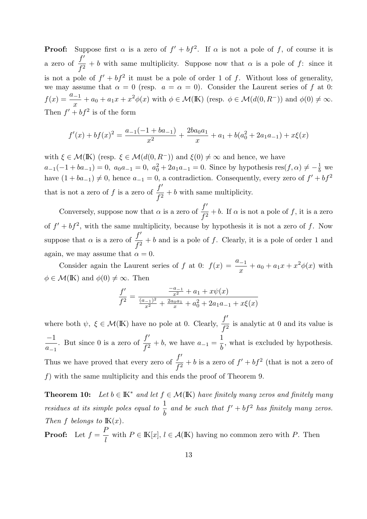**Proof:** Suppose first  $\alpha$  is a zero of  $f' + bf^2$ . If  $\alpha$  is not a pole of f, of course it is a zero of  $\frac{f'}{c^2}$  $\frac{J}{f^2} + b$  with same multiplicity. Suppose now that  $\alpha$  is a pole of f: since it is not a pole of  $f' + bf^2$  it must be a pole of order 1 of f. Without loss of generality, we may assume that  $\alpha = 0$  (resp.  $a = \alpha = 0$ ). Consider the Laurent series of f at 0:  $f(x) = \frac{a_{-1}}{x}$  $\frac{-1}{x} + a_0 + a_1 x + x^2 \phi(x)$  with  $\phi \in \mathcal{M}(\mathbb{K})$  (resp.  $\phi \in \mathcal{M}(d(0, R^-))$  and  $\phi(0) \neq \infty$ . Then  $f' + bf^2$  is of the form

$$
f'(x) + bf(x)^2 = \frac{a_{-1}(-1 + ba_{-1})}{x^2} + \frac{2ba_0a_1}{x} + a_1 + b(a_0^2 + 2a_1a_{-1}) + x\xi(x)
$$

with  $\xi \in \mathcal{M}(\mathbb{K})$  (resp.  $\xi \in \mathcal{M}(d(0, R^{-}))$  and  $\xi(0) \neq \infty$  and hence, we have  $a_{-1}(-1+ba_{-1})=0$ ,  $a_0a_{-1}=0$ ,  $a_0^2+2a_1a_{-1}=0$ . Since by hypothesis res $(f, \alpha) \neq -\frac{1}{b}$  $rac{1}{b}$  we have  $(1 + ba_{-1}) \neq 0$ , hence  $a_{-1} = 0$ , a contradiction. Consequently, every zero of  $f' + bf^2$ that is not a zero of f is a zero of  $\frac{f'}{f}$  $\frac{J}{f^2} + b$  with same multiplicity.

Conversely, suppose now that  $\alpha$  is a zero of  $\frac{f'}{f}$  $\frac{J}{f^2} + b$ . If  $\alpha$  is not a pole of f, it is a zero of  $f' + bf^2$ , with the same multiplicity, because by hypothesis it is not a zero of f. Now suppose that  $\alpha$  is a zero of  $\frac{f'}{f}$  $\frac{f}{f^2} + b$  and is a pole of f. Clearly, it is a pole of order 1 and again, we may assume that  $\alpha = 0$ .

Consider again the Laurent series of f at 0:  $f(x) = \frac{a-1}{x}$  $\frac{x^{-1}}{x} + a_0 + a_1 x + x^2 \phi(x)$  with  $\phi \in \mathcal{M}(\mathbb{K})$  and  $\phi(0) \neq \infty$ . Then

$$
\frac{f'}{f^2} = \frac{\frac{-a_{-1}}{x^2} + a_1 + x\psi(x)}{\frac{(a_{-1})^2}{x^2} + \frac{2a_0a_1}{x} + a_0^2 + 2a_1a_{-1} + x\xi(x)}
$$

where both  $\psi, \xi \in \mathcal{M}(\mathbb{K})$  have no pole at 0. Clearly,  $\frac{f'}{f}$  $\frac{J}{f^2}$  is analytic at 0 and its value is −1  $a_{-1}$ . But since 0 is a zero of  $\frac{f'}{f}$  $\frac{J}{f^2} + b$ , we have  $a_{-1} =$ 1 b , what is excluded by hypothesis. Thus we have proved that every zero of  $\frac{f'}{f}$  $\frac{J}{f^2} + b$  is a zero of  $f' + bf^2$  (that is not a zero of f) with the same multiplicity and this ends the proof of Theorem 9.

**Theorem 10:** Let  $b \in \mathbb{K}^*$  and let  $f \in \mathcal{M}(\mathbb{K})$  have finitely many zeros and finitely many residues at its simple poles equal to  $\frac{1}{1}$ b and be such that  $f' + bf^2$  has finitely many zeros. Then f belongs to  $K(x)$ . P

**Proof:** Let  $f =$ l with  $P \in \mathbb{K}[x], l \in \mathcal{A}(\mathbb{K})$  having no common zero with P. Then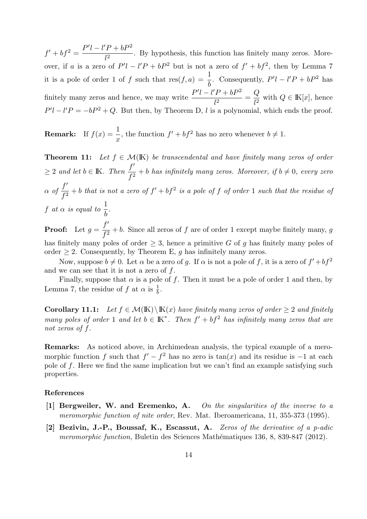$f' + bf^2 = \frac{P'l - l'P + bP^2}{l^2}$  $\frac{1}{l^2}$ . By hypothesis, this function has finitely many zeros. Moreover, if a is a zero of  $P' - l'P + bP^2$  but is not a zero of  $f' + bf^2$ , then by Lemma 7 it is a pole of order 1 of f such that  $res(f, a) = \frac{1}{f}$ b . Consequently,  $P'l - l'P + bP^2$  has finitely many zeros and hence, we may write  $\frac{P'l - l'P + bP^2}{l^2}$  $\frac{1}{l^2}$  =  $\,Q$  $\frac{\mathscr{L}}{l^2}$  with  $Q \in \mathbb{K}[x]$ , hence  $P'l - l'P = -bP^2 + Q$ . But then, by Theorem D, l is a polynomial, which ends the proof.

**Remark:** If  $f(x) = \frac{1}{x}$  $\boldsymbol{x}$ , the function  $f' + bf^2$  has no zero whenever  $b \neq 1$ .

**Theorem 11:** Let  $f \in \mathcal{M}(\mathbb{K})$  be transcendental and have finitely many zeros of order  $\geq 2$  and let  $b \in \mathbb{K}$ . Then  $\frac{f'}{f}$  $\frac{J}{f^2} + b$  has infinitely many zeros. Moreover, if  $b \neq 0$ , every zero  $\alpha$  of  $\frac{f'}{g}$  $\frac{J}{f^2}$  + b that is not a zero of  $f' + bf^2$  is a pole of f of order 1 such that the residue of f at  $\alpha$  is equal to  $\frac{1}{1}$ b .  $f'$ 

**Proof:** Let  $g =$  $\frac{J}{f^2} + b$ . Since all zeros of f are of order 1 except maybe finitely many, g has finitely many poles of order  $\geq 3$ , hence a primitive G of g has finitely many poles of order  $\geq 2$ . Consequently, by Theorem E, g has infinitely many zeros.

Now, suppose  $b \neq 0$ . Let  $\alpha$  be a zero of g. If  $\alpha$  is not a pole of f, it is a zero of  $f' + bf^2$ and we can see that it is not a zero of  $f$ .

Finally, suppose that  $\alpha$  is a pole of f. Then it must be a pole of order 1 and then, by Lemma 7, the residue of f at  $\alpha$  is  $\frac{1}{b}$ .

**Corollary 11.1:** Let  $f \in \mathcal{M}(K) \setminus K(x)$  have finitely many zeros of order > 2 and finitely many poles of order 1 and let  $b \in K^*$ . Then  $f' + bf^2$  has infinitely many zeros that are not zeros of f.

Remarks: As noticed above, in Archimedean analysis, the typical example of a meromorphic function f such that  $f' - f^2$  has no zero is  $tan(x)$  and its residue is  $-1$  at each pole of f. Here we find the same implication but we can't find an example satisfying such properties.

### References

- [1] Bergweiler, W. and Eremenko, A. On the singularities of the inverse to a meromorphic function of nite order, Rev. Mat. Iberoamericana, 11, 355-373 (1995).
- [2] Bezivin, J.-P., Boussaf, K., Escassut, A. Zeros of the derivative of a p-adic meromorphic function, Buletin des Sciences Mathématiques 136, 8, 839-847 (2012).